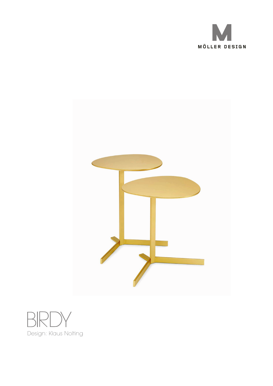



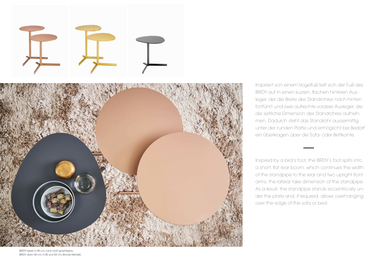



Inspiriert von einem Vogelfuß teilt sich der Fuß des BIRDY auf in einen kurzen, flachen hinteren Ausleger, der die Breite des Standrohres nach hinten fortführt und zwei aufrechte vordere Ausleger, die die seitliche Dimension des Standrohres aufnehmen. Dadurch steht das Standrohr aussermittig unter der runden Platte und ermöglicht bei Bedarf ein Überkragen über die Sofa- oder Bettkante.

Inspired by a bird's foot, the BIRDY's foot splits into a short, flat rear boom, which continues the width of the standpipe to the rear and two upright front arms, the lateral take dimension of the standpipe. As a result, the standpipe stands eccentrically under the plate and, if required, allows overhanging over the edge of the sofa or bed.

BIRDY kiesel, H 45 cm, Lack matt graphitgrau BIRDY diam 40 cm, H 45 und 53 cm, Bronze Metallic